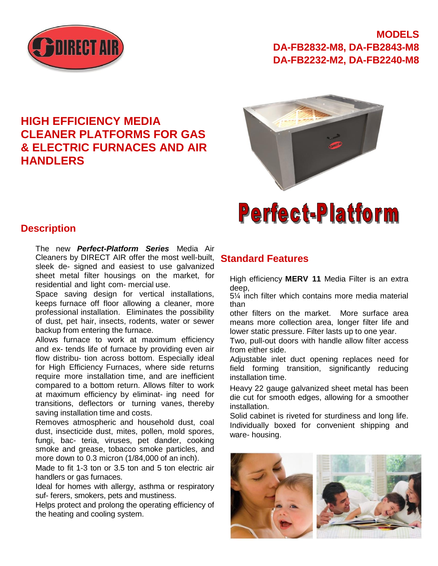

**HIGH EFFICIENCY MEDIA** 

**CLEANER PLATFORMS FOR GAS & ELECTRIC FURNACES AND AIR** 

### **MODELS DA-FB2832-M8, DA-FB2843-M8 DA-FB2232-M2, DA-FB2240-M8**

# **Perfect-Platform**

#### **Description**

**HANDLERS**

The new *Perfect-Platform Series* Media Air Cleaners by DIRECT AIR offer the most well-built, sleek de- signed and easiest to use galvanized sheet metal filter housings on the market, for residential and light com- mercial use.

Space saving design for vertical installations, keeps furnace off floor allowing a cleaner, more professional installation. Eliminates the possibility of dust, pet hair, insects, rodents, water or sewer backup from entering the furnace.

Allows furnace to work at maximum efficiency and ex- tends life of furnace by providing even air flow distribu- tion across bottom. Especially ideal for High Efficiency Furnaces, where side returns require more installation time, and are inefficient compared to a bottom return. Allows filter to work at maximum efficiency by eliminat- ing need for transitions, deflectors or turning vanes, thereby saving installation time and costs.

Removes atmospheric and household dust, coal dust, insecticide dust, mites, pollen, mold spores, fungi, bac- teria, viruses, pet dander, cooking smoke and grease, tobacco smoke particles, and more down to 0.3 micron (1/84,000 of an inch).

Made to fit 1-3 ton or 3.5 ton and 5 ton electric air handlers or gas furnaces.

Ideal for homes with allergy, asthma or respiratory suf- ferers, smokers, pets and mustiness.

Helps protect and prolong the operating efficiency of the heating and cooling system.

#### **Standard Features**

High efficiency **MERV 11** Media Filter is an extra deep,

5¼ inch filter which contains more media material than

other filters on the market. More surface area means more collection area, longer filter life and lower static pressure. Filter lasts up to one year.

Two, pull-out doors with handle allow filter access from either side.

Adjustable inlet duct opening replaces need for field forming transition, significantly reducing installation time.

Heavy 22 gauge galvanized sheet metal has been die cut for smooth edges, allowing for a smoother installation.

Solid cabinet is riveted for sturdiness and long life. Individually boxed for convenient shipping and ware- housing.